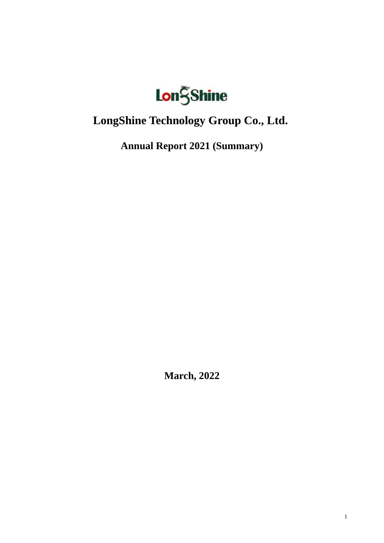

# **LongShine Technology Group Co., Ltd.**

**Annual Report 2021 (Summary)**

**March, 2022**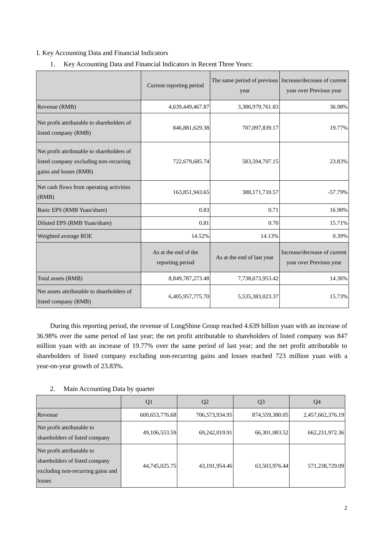## I. Key Accounting Data and Financial Indicators

|                                                                                                                | Current reporting period                 | year                       | The same period of previous Increase/decrease of current<br>year over Previous year |
|----------------------------------------------------------------------------------------------------------------|------------------------------------------|----------------------------|-------------------------------------------------------------------------------------|
| Revenue (RMB)                                                                                                  | 4,639,449,467.87                         | 3,386,979,761.83           | 36.98%                                                                              |
| Net profit attributable to shareholders of<br>listed company (RMB)                                             | 846,881,629.38                           | 707,097,839.17             | 19.77%                                                                              |
| Net profit attributable to shareholders of<br>listed company excluding non-recurring<br>gains and losses (RMB) | 722,679,685.74                           | 583,594,707.15             | 23.83%                                                                              |
| Net cash flows from operating activities<br>(RMB)                                                              | 163,851,943.65                           | 388, 171, 710.57           | $-57.79%$                                                                           |
| Basic EPS (RMB Yuan/share)                                                                                     | 0.83                                     | 0.71                       | 16.90%                                                                              |
| Diluted EPS (RMB Yuan/share)                                                                                   | 0.81                                     | 0.70                       | 15.71%                                                                              |
| Weighted average ROE                                                                                           | 14.52%                                   | 14.13%                     | 0.39%                                                                               |
|                                                                                                                | As at the end of the<br>reporting period | As at the end of last year | Increase/decrease of current<br>year over Previous year                             |
| Total assets (RMB)                                                                                             | 8,849,787,273.48                         | 7,738,673,953.42           | 14.36%                                                                              |
| Net assets attributable to shareholders of<br>listed company (RMB)                                             | 6,405,957,775.70                         | 5,535,383,023.37           | 15.73%                                                                              |

1. Key Accounting Data and Financial Indicators in Recent Three Years:

During this reporting period, the revenue of LongShine Group reached 4.639 billion yuan with an increase of 36.98% over the same period of last year; the net profit attributable to shareholders of listed company was 847 million yuan with an increase of 19.77% over the same period of last year; and the net profit attributable to shareholders of listed company excluding non-recurring gains and losses reached 723 million yuan with a year-on-year growth of 23.83%.

# 2. Main Accounting Data by quarter

|                                                                                                             | Q <sub>1</sub>    | Q <sub>2</sub>   | Q <sub>3</sub>   | Q <sub>4</sub>    |
|-------------------------------------------------------------------------------------------------------------|-------------------|------------------|------------------|-------------------|
| Revenue                                                                                                     | 600, 653, 776. 68 | 706,573,934.95   | 874,559,380.05   | 2,457,662,376.19  |
| Net profit attributable to<br>shareholders of listed company                                                | 49,106,553.59     | 69,242,019.91    | 66, 301, 083. 52 | 662, 231, 972. 36 |
| Net profit attributable to<br>shareholders of listed company<br>excluding non-recurring gains and<br>losses | 44,745,025.75     | 43, 191, 954. 46 | 63,503,976.44    | 571,238,729.09    |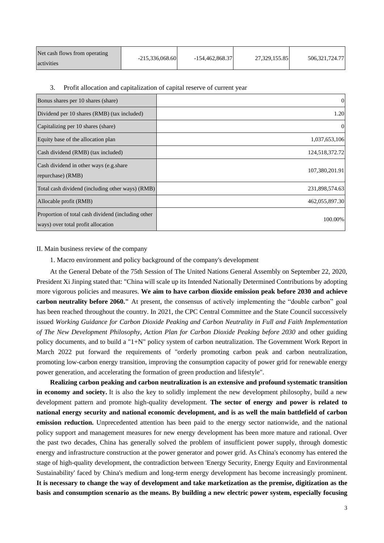| Net cash flows from operating | $-215.336.068.60$ | $-154.462.868.37$ | 27,329,155.85 | 506.321.724.77 |
|-------------------------------|-------------------|-------------------|---------------|----------------|
| activities                    |                   |                   |               |                |

### 3. Profit allocation and capitalization of capital reserve of current year

| Bonus shares per 10 shares (share)                                                       | $\overline{0}$ |
|------------------------------------------------------------------------------------------|----------------|
| Dividend per 10 shares (RMB) (tax included)                                              | 1.20           |
| Capitalizing per 10 shares (share)                                                       | $\theta$       |
| Equity base of the allocation plan                                                       | 1,037,653,106  |
| Cash dividend (RMB) (tax included)                                                       | 124,518,372.72 |
| Cash dividend in other ways (e.g. share<br>repurchase) (RMB)                             | 107,380,201.91 |
| Total cash dividend (including other ways) (RMB)                                         | 231,898,574.63 |
| Allocable profit (RMB)                                                                   | 462,055,897.30 |
| Proportion of total cash dividend (including other<br>ways) over total profit allocation | 100.00%        |

### II. Main business review of the company

### 1. Macro environment and policy background of the company's development

At the General Debate of the 75th Session of The United Nations General Assembly on September 22, 2020, President Xi Jinping stated that: "China will scale up its Intended Nationally Determined Contributions by adopting more vigorous policies and measures. **We aim to have carbon dioxide emission peak before 2030 and achieve carbon neutrality before 2060."** At present, the consensus of actively implementing the "double carbon" goal has been reached throughout the country. In 2021, the CPC Central Committee and the State Council successively issued *Working Guidance for Carbon Dioxide Peaking and Carbon Neutrality in Full and Faith Implementation of The New Development Philosophy*, *Action Plan for Carbon Dioxide Peaking before 2030* and other guiding policy documents, and to build a "1+N" policy system of carbon neutralization. The Government Work Report in March 2022 put forward the requirements of "orderly promoting carbon peak and carbon neutralization, promoting low-carbon energy transition, improving the consumption capacity of power grid for renewable energy power generation, and accelerating the formation of green production and lifestyle".

**Realizing carbon peaking and carbon neutralization is an extensive and profound systematic transition in economy and society.** It is also the key to solidly implement the new development philosophy, build a new development pattern and promote high-quality development. **The sector of energy and power is related to national energy security and national economic development, and is as well the main battlefield of carbon emission reduction.** Unprecedented attention has been paid to the energy sector nationwide, and the national policy support and management measures for new energy development has been more mature and rational. Over the past two decades, China has generally solved the problem of insufficient power supply, through domestic energy and infrastructure construction at the power generator and power grid. As China's economy has entered the stage of high-quality development, the contradiction between 'Energy Security, Energy Equity and Environmental Sustainability' faced by China's medium and long-term energy development has become increasingly prominent. **It is necessary to change the way of development and take marketization as the premise, digitization as the basis and consumption scenario as the means. By building a new electric power system, especially focusing**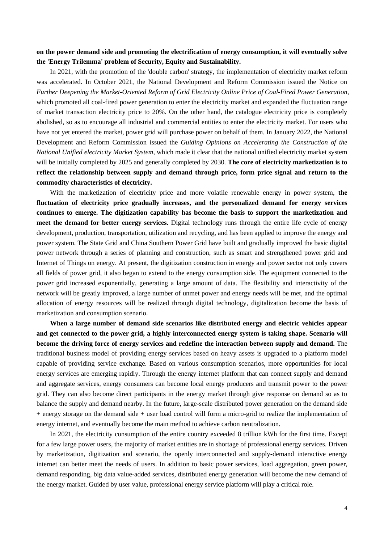# **on the power demand side and promoting the electrification of energy consumption, it will eventually solve the 'Energy Trilemma' problem of Security, Equity and Sustainability.**

In 2021, with the promotion of the 'double carbon' strategy, the implementation of electricity market reform was accelerated. In October 2021, the National Development and Reform Commission issued the Notice on *Further Deepening the Market-Oriented Reform of Grid Electricity Online Price of Coal-Fired Power Generation*, which promoted all coal-fired power generation to enter the electricity market and expanded the fluctuation range of market transaction electricity price to 20%. On the other hand, the catalogue electricity price is completely abolished, so as to encourage all industrial and commercial entities to enter the electricity market. For users who have not yet entered the market, power grid will purchase power on behalf of them. In January 2022, the National Development and Reform Commission issued the *Guiding Opinions on Accelerating the Construction of the National Unified electricity Market System*, which made it clear that the national unified electricity market system will be initially completed by 2025 and generally completed by 2030. **The core of electricity marketization is to reflect the relationship between supply and demand through price, form price signal and return to the commodity characteristics of electricity.**

With the marketization of electricity price and more volatile renewable energy in power system, **the fluctuation of electricity price gradually increases, and the personalized demand for energy services continues to emerge. The digitization capability has become the basis to support the marketization and meet the demand for better energy services.** Digital technology runs through the entire life cycle of energy development, production, transportation, utilization and recycling, and has been applied to improve the energy and power system. The State Grid and China Southern Power Grid have built and gradually improved the basic digital power network through a series of planning and construction, such as smart and strengthened power grid and Internet of Things on energy. At present, the digitization construction in energy and power sector not only covers all fields of power grid, it also began to extend to the energy consumption side. The equipment connected to the power grid increased exponentially, generating a large amount of data. The flexibility and interactivity of the network will be greatly improved, a large number of unmet power and energy needs will be met, and the optimal allocation of energy resources will be realized through digital technology, digitalization become the basis of marketization and consumption scenario.

**When a large number of demand side scenarios like distributed energy and electric vehicles appear and get connected to the power grid, a highly interconnected energy system is taking shape. Scenario will become the driving force of energy services and redefine the interaction between supply and demand.** The traditional business model of providing energy services based on heavy assets is upgraded to a platform model capable of providing service exchange. Based on various consumption scenarios, more opportunities for local energy services are emerging rapidly. Through the energy internet platform that can connect supply and demand and aggregate services, energy consumers can become local energy producers and transmit power to the power grid. They can also become direct participants in the energy market through give response on demand so as to balance the supply and demand nearby. In the future, large-scale distributed power generation on the demand side + energy storage on the demand side + user load control will form a micro-grid to realize the implementation of energy internet, and eventually become the main method to achieve carbon neutralization.

In 2021, the electricity consumption of the entire country exceeded 8 trillion kWh for the first time. Except for a few large power users, the majority of market entities are in shortage of professional energy services. Driven by marketization, digitization and scenario, the openly interconnected and supply-demand interactive energy internet can better meet the needs of users. In addition to basic power services, load aggregation, green power, demand responding, big data value-added services, distributed energy generation will become the new demand of the energy market. Guided by user value, professional energy service platform will play a critical role.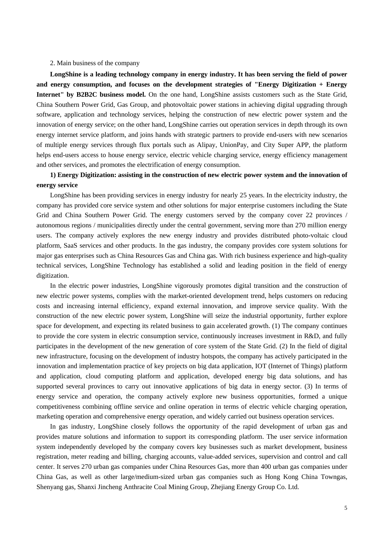### 2. Main business of the company

**LongShine is a leading technology company in energy industry. It has been serving the field of power and energy consumption, and focuses on the development strategies of "Energy Digitization + Energy Internet" by B2B2C business model.** On the one hand, LongShine assists customers such as the State Grid, China Southern Power Grid, Gas Group, and photovoltaic power stations in achieving digital upgrading through software, application and technology services, helping the construction of new electric power system and the innovation of energy service; on the other hand, LongShine carries out operation services in depth through its own energy internet service platform, and joins hands with strategic partners to provide end-users with new scenarios of multiple energy services through flux portals such as Alipay, UnionPay, and City Super APP, the platform helps end-users access to house energy service, electric vehicle charging service, energy efficiency management and other services, and promotes the electrification of energy consumption.

# **1) Energy Digitization: assisting in the construction of new electric power system and the innovation of energy service**

LongShine has been providing services in energy industry for nearly 25 years. In the electricity industry, the company has provided core service system and other solutions for major enterprise customers including the State Grid and China Southern Power Grid. The energy customers served by the company cover 22 provinces / autonomous regions / municipalities directly under the central government, serving more than 270 million energy users. The company actively explores the new energy industry and provides distributed photo-voltaic cloud platform, SaaS services and other products. In the gas industry, the company provides core system solutions for major gas enterprises such as China Resources Gas and China gas. With rich business experience and high-quality technical services, LongShine Technology has established a solid and leading position in the field of energy digitization.

In the electric power industries, LongShine vigorously promotes digital transition and the construction of new electric power systems, complies with the market-oriented development trend, helps customers on reducing costs and increasing internal efficiency, expand external innovation, and improve service quality. With the construction of the new electric power system, LongShine will seize the industrial opportunity, further explore space for development, and expecting its related business to gain accelerated growth. (1) The company continues to provide the core system in electric consumption service, continuously increases investment in R&D, and fully participates in the development of the new generation of core system of the State Grid. (2) In the field of digital new infrastructure, focusing on the development of industry hotspots, the company has actively participated in the innovation and implementation practice of key projects on big data application, IOT (Internet of Things) platform and application, cloud computing platform and application, developed energy big data solutions, and has supported several provinces to carry out innovative applications of big data in energy sector. (3) In terms of energy service and operation, the company actively explore new business opportunities, formed a unique competitiveness combining offline service and online operation in terms of electric vehicle charging operation, marketing operation and comprehensive energy operation, and widely carried out business operation services.

In gas industry, LongShine closely follows the opportunity of the rapid development of urban gas and provides mature solutions and information to support its corresponding platform. The user service information system independently developed by the company covers key businesses such as market development, business registration, meter reading and billing, charging accounts, value-added services, supervision and control and call center. It serves 270 urban gas companies under China Resources Gas, more than 400 urban gas companies under China Gas, as well as other large/medium-sized urban gas companies such as Hong Kong China Towngas, Shenyang gas, Shanxi Jincheng Anthracite Coal Mining Group, Zhejiang Energy Group Co. Ltd.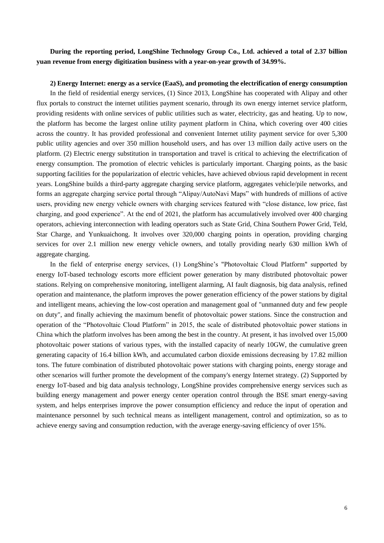# **During the reporting period, LongShine Technology Group Co., Ltd. achieved a total of 2.37 billion yuan revenue from energy digitization business with a year-on-year growth of 34.99%.**

### **2) Energy Internet: energy as a service (EaaS), and promoting the electrification of energy consumption**

In the field of residential energy services, (1) Since 2013, LongShine has cooperated with Alipay and other flux portals to construct the internet utilities payment scenario, through its own energy internet service platform, providing residents with online services of public utilities such as water, electricity, gas and heating. Up to now, the platform has become the largest online utility payment platform in China, which covering over 400 cities across the country. It has provided professional and convenient Internet utility payment service for over 5,300 public utility agencies and over 350 million household users, and has over 13 million daily active users on the platform. (2) Electric energy substitution in transportation and travel is critical to achieving the electrification of energy consumption. The promotion of electric vehicles is particularly important. Charging points, as the basic supporting facilities for the popularization of electric vehicles, have achieved obvious rapid development in recent years. LongShine builds a third-party aggregate charging service platform, aggregates vehicle/pile networks, and forms an aggregate charging service portal through "Alipay/AutoNavi Maps" with hundreds of millions of active users, providing new energy vehicle owners with charging services featured with "close distance, low price, fast charging, and good experience". At the end of 2021, the platform has accumulatively involved over 400 charging operators, achieving interconnection with leading operators such as State Grid, China Southern Power Grid, Teld, Star Charge, and Yunkuaichong. It involves over 320,000 charging points in operation, providing charging services for over 2.1 million new energy vehicle owners, and totally providing nearly 630 million kWh of aggregate charging.

In the field of enterprise energy services, (1) LongShine's "Photovoltaic Cloud Platform" supported by energy IoT-based technology escorts more efficient power generation by many distributed photovoltaic power stations. Relying on comprehensive monitoring, intelligent alarming, AI fault diagnosis, big data analysis, refined operation and maintenance, the platform improves the power generation efficiency of the power stations by digital and intelligent means, achieving the low-cost operation and management goal of "unmanned duty and few people on duty", and finally achieving the maximum benefit of photovoltaic power stations. Since the construction and operation of the "Photovoltaic Cloud Platform" in 2015, the scale of distributed photovoltaic power stations in China which the platform involves has been among the best in the country. At present, it has involved over 15,000 photovoltaic power stations of various types, with the installed capacity of nearly 10GW, the cumulative green generating capacity of 16.4 billion kWh, and accumulated carbon dioxide emissions decreasing by 17.82 million tons. The future combination of distributed photovoltaic power stations with charging points, energy storage and other scenarios will further promote the development of the company's energy Internet strategy. (2) Supported by energy IoT-based and big data analysis technology, LongShine provides comprehensive energy services such as building energy management and power energy center operation control through the BSE smart energy-saving system, and helps enterprises improve the power consumption efficiency and reduce the input of operation and maintenance personnel by such technical means as intelligent management, control and optimization, so as to achieve energy saving and consumption reduction, with the average energy-saving efficiency of over 15%.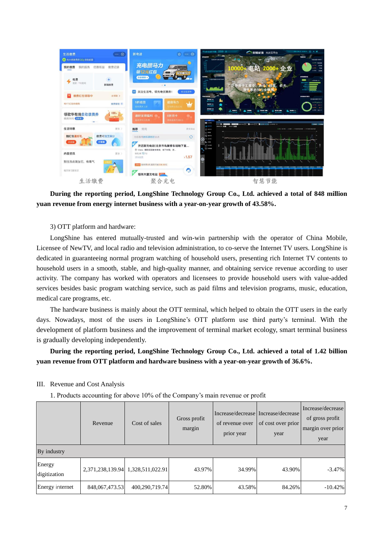

**During the reporting period, LongShine Technology Group Co., Ltd. achieved a total of 848 million yuan revenue from energy internet business with a year-on-year growth of 43.58%.**

3) OTT platform and hardware:

LongShine has entered mutually-trusted and win-win partnership with the operator of China Mobile, Licensee of NewTV, and local radio and television administration, to co-serve the Internet TV users. LongShine is dedicated in guaranteeing normal program watching of household users, presenting rich Internet TV contents to household users in a smooth, stable, and high-quality manner, and obtaining service revenue according to user activity. The company has worked with operators and licensees to provide household users with value-added services besides basic program watching service, such as paid films and television programs, music, education, medical care programs, etc.

The hardware business is mainly about the OTT terminal, which helped to obtain the OTT users in the early days. Nowadays, most of the users in LongShine's OTT platform use third party's terminal. With the development of platform business and the improvement of terminal market ecology, smart terminal business is gradually developing independently.

# **During the reporting period, LongShine Technology Group Co., Ltd. achieved a total of 1.42 billion yuan revenue from OTT platform and hardware business with a year-on-year growth of 36.6%.**

|                        | Revenue        | Cost of sales                     | Gross profit<br>margin | of revenue over<br>prior year | Increase/decrease   Increase/decrease  <br>of cost over prior<br>year | Increase/decrease<br>of gross profit<br>margin over prior<br>year |
|------------------------|----------------|-----------------------------------|------------------------|-------------------------------|-----------------------------------------------------------------------|-------------------------------------------------------------------|
| By industry            |                |                                   |                        |                               |                                                                       |                                                                   |
| Energy<br>digitization |                | 2,371,238,139.94 1,328,511,022.91 | 43.97%                 | 34.99%                        | 43.90%                                                                | $-3.47\%$                                                         |
| Energy internet        | 848,067,473.53 | 400,290,719.74                    | 52.80%                 | 43.58%                        | 84.26%                                                                | $-10.42\%$                                                        |

III. Revenue and Cost Analysis

1. Products accounting for above 10% of the Company's main revenue or profit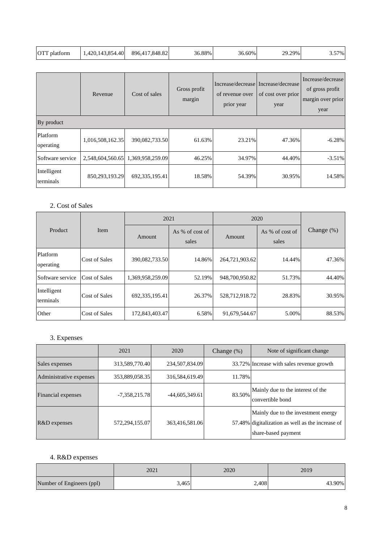| <b>OTT</b> platform | 1,420,143,854.40 | 896,417,848.82 | 36.88% | 36.60% | 29.29% | 57%<br>، ب |
|---------------------|------------------|----------------|--------|--------|--------|------------|
|---------------------|------------------|----------------|--------|--------|--------|------------|

|                          | Revenue          | Cost of sales                     | Gross profit<br>margin | of revenue over<br>prior year | Increase/decrease Increase/decrease<br>of cost over prior<br>year | Increase/decrease<br>of gross profit<br>margin over prior<br>year |  |
|--------------------------|------------------|-----------------------------------|------------------------|-------------------------------|-------------------------------------------------------------------|-------------------------------------------------------------------|--|
| By product               |                  |                                   |                        |                               |                                                                   |                                                                   |  |
| Platform<br>operating    | 1,016,508,162.35 | 390,082,733.50                    | 61.63%                 | 23.21%                        | 47.36%                                                            | $-6.28%$                                                          |  |
| Software service         |                  | 2,548,604,560.65 1,369,958,259.09 | 46.25%                 | 34.97%                        | 44.40%                                                            | $-3.51%$                                                          |  |
| Intelligent<br>terminals | 850,293,193.29   | 692, 335, 195.41                  | 18.58%                 | 54.39%                        | 30.95%                                                            | 14.58%                                                            |  |

# 2. Cost of Sales

|                          |                      | 2021              |                          | 2020           |                          |               |
|--------------------------|----------------------|-------------------|--------------------------|----------------|--------------------------|---------------|
| Product                  | Item                 | Amount            | As % of cost of<br>sales | Amount         | As % of cost of<br>sales | Change $(\%)$ |
| Platform<br>operating    | <b>Cost of Sales</b> | 390,082,733.50    | 14.86%                   | 264,721,903.62 | 14.44%                   | 47.36%        |
| Software service         | Cost of Sales        | 1,369,958,259.09  | 52.19%                   | 948,700,950.82 | 51.73%                   | 44.40%        |
| Intelligent<br>terminals | <b>Cost of Sales</b> | 692, 335, 195. 41 | 26.37%                   | 528,712,918.72 | 28.83%                   | 30.95%        |
| Other                    | <b>Cost of Sales</b> | 172,843,403.47    | 6.58%                    | 91,679,544.67  | 5.00%                    | 88.53%        |

# 3. Expenses

|                         | 2021            | 2020             | Change $(\%)$ | Note of significant change                                                                                     |
|-------------------------|-----------------|------------------|---------------|----------------------------------------------------------------------------------------------------------------|
| Sales expenses          | 313,589,770.40  | 234,507,834.09   |               | 33.72% Increase with sales revenue growth                                                                      |
| Administrative expenses | 353,889,058.35  | 316,584,619.49   | 11.78%        |                                                                                                                |
| Financial expenses      | $-7,358,215.78$ | $-44,605,349.61$ | 83.50%        | Mainly due to the interest of the<br>convertible bond                                                          |
| R&D expenses            | 572,294,155.07  | 363,416,581.06   |               | Mainly due to the investment energy<br>57.48% digitalization as well as the increase of<br>share-based payment |

# 4. R&D expenses

|                           | 2021  | 2020  | 2019   |
|---------------------------|-------|-------|--------|
| Number of Engineers (ppl) | 3.465 | 2,408 | 43.90% |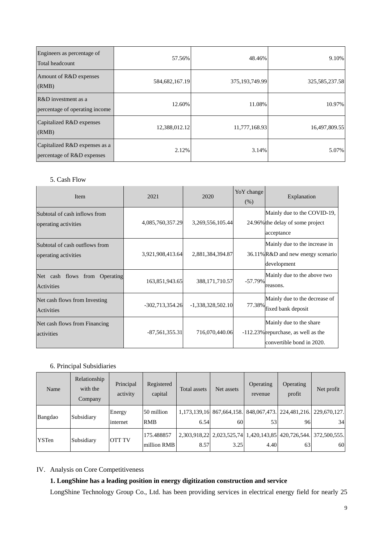| Engineers as percentage of<br>Total headcount               | 57.56%         | 48.46%         | 9.10%          |
|-------------------------------------------------------------|----------------|----------------|----------------|
| Amount of R&D expenses<br>(RMB)                             | 584,682,167.19 | 375,193,749.99 | 325,585,237.58 |
| $R&D$ investment as a<br>percentage of operating income     | 12.60%         | 11.08%         | 10.97%         |
| Capitalized R&D expenses<br>(RMB)                           | 12,388,012.12  | 11,777,168.93  | 16,497,809.55  |
| Capitalized R&D expenses as a<br>percentage of R&D expenses | 2.12%          | 3.14%          | 5.07%          |

## 5. Cash Flow

| Item                                                   | 2021              | 2020                | YoY change<br>(% ) | Explanation                                                                                  |
|--------------------------------------------------------|-------------------|---------------------|--------------------|----------------------------------------------------------------------------------------------|
| Subtotal of cash inflows from<br>operating activities  | 4,085,760,357.29  | 3,269,556,105.44    |                    | Mainly due to the COVID-19,<br>24.96% the delay of some project<br>acceptance                |
| Subtotal of cash outflows from<br>operating activities | 3,921,908,413.64  | 2,881,384,394.87    |                    | Mainly due to the increase in<br>36.11% R&D and new energy scenario<br>development           |
| Net cash flows from Operating<br>Activities            | 163,851,943.65    | 388, 171, 710. 57   | $-57.79%$          | Mainly due to the above two<br>reasons.                                                      |
| Net cash flows from Investing<br>Activities            | $-302,713,354.26$ | $-1,338,328,502.10$ | 77.38%             | Mainly due to the decrease of<br>fixed bank deposit                                          |
| Net cash flows from Financing<br>activities            | $-87,561,355.31$  | 716,070,440.06      |                    | Mainly due to the share.<br>-112.23% repurchase, as well as the<br>convertible bond in 2020. |

### 6. Principal Subsidiaries

| Name         | Relationship<br>with the<br>Company | Principal<br>activity | Registered<br>capital     | Total assets | Net assets                                                  | Operating<br>revenue | Operating<br>profit                          | Net profit          |
|--------------|-------------------------------------|-----------------------|---------------------------|--------------|-------------------------------------------------------------|----------------------|----------------------------------------------|---------------------|
| Bangdao      | Subsidiary                          | Energy<br>internet    | 50 million<br><b>RMB</b>  | 6.54         | 1,173,139,16 867,664,158.<br>60                             | 53                   | 848,067,473. 224,481,216. 229,670,127.<br>96 | 34                  |
| <b>YSTen</b> | Subsidiary                          | <b>OTT TV</b>         | 175.488857<br>million RMB | 8.57         | 2,303,918,22 2,023,525,74 1,420,143,85 420,726,544.<br>3.25 | 4.40                 | 63                                           | 372.500.555.1<br>60 |

# IV. Analysis on Core Competitiveness

# **1. LongShine has a leading position in energy digitization construction and service**

LongShine Technology Group Co., Ltd. has been providing services in electrical energy field for nearly 25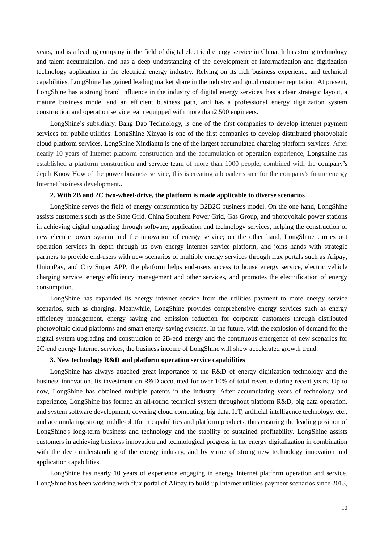years, and is a leading company in the field of digital electrical energy service in China. It has strong technology and talent accumulation, and has a deep understanding of the development of informatization and digitization technology application in the electrical energy industry. Relying on its rich business experience and technical capabilities, LongShine has gained leading market share in the industry and good customer reputation. At present, LongShine has a strong brand influence in the industry of digital energy services, has a clear strategic layout, a mature business model and an efficient business path, and has a professional energy digitization system construction and operation service team equipped with more than2,500 engineers.

LongShine's subsidiary, Bang Dao Technology, is one of the first companies to develop internet payment services for public utilities. LongShine Xinyao is one of the first companies to develop distributed photovoltaic cloud platform services, LongShine Xindiantu is one of the largest accumulated charging platform services. After nearly 10 years of Internet platform construction and the accumulation of operation experience, Longshine has established a platform construction and service team of more than 1000 people, combined with the company's depth Know How of the power business service, this is creating a broader space for the company's future energy Internet business development..

### **2. With 2B and 2C two-wheel-drive, the platform is made applicable to diverse scenarios**

LongShine serves the field of energy consumption by B2B2C business model. On the one hand, LongShine assists customers such as the State Grid, China Southern Power Grid, Gas Group, and photovoltaic power stations in achieving digital upgrading through software, application and technology services, helping the construction of new electric power system and the innovation of energy service; on the other hand, LongShine carries out operation services in depth through its own energy internet service platform, and joins hands with strategic partners to provide end-users with new scenarios of multiple energy services through flux portals such as Alipay, UnionPay, and City Super APP, the platform helps end-users access to house energy service, electric vehicle charging service, energy efficiency management and other services, and promotes the electrification of energy consumption.

LongShine has expanded its energy internet service from the utilities payment to more energy service scenarios, such as charging. Meanwhile, LongShine provides comprehensive energy services such as energy efficiency management, energy saving and emission reduction for corporate customers through distributed photovoltaic cloud platforms and smart energy-saving systems. In the future, with the explosion of demand for the digital system upgrading and construction of 2B-end energy and the continuous emergence of new scenarios for 2C-end energy Internet services, the business income of LongShine will show accelerated growth trend.

### **3. New technology R&D and platform operation service capabilities**

LongShine has always attached great importance to the R&D of energy digitization technology and the business innovation. Its investment on R&D accounted for over 10% of total revenue during recent years. Up to now, LongShine has obtained multiple patents in the industry. After accumulating years of technology and experience, LongShine has formed an all-round technical system throughout platform R&D, big data operation, and system software development, covering cloud computing, big data, IoT, artificial intelligence technology, etc., and accumulating strong middle-platform capabilities and platform products, thus ensuring the leading position of LongShine's long-term business and technology and the stability of sustained profitability. LongShine assists customers in achieving business innovation and technological progress in the energy digitalization in combination with the deep understanding of the energy industry, and by virtue of strong new technology innovation and application capabilities.

LongShine has nearly 10 years of experience engaging in energy Internet platform operation and service. LongShine has been working with flux portal of Alipay to build up Internet utilities payment scenarios since 2013,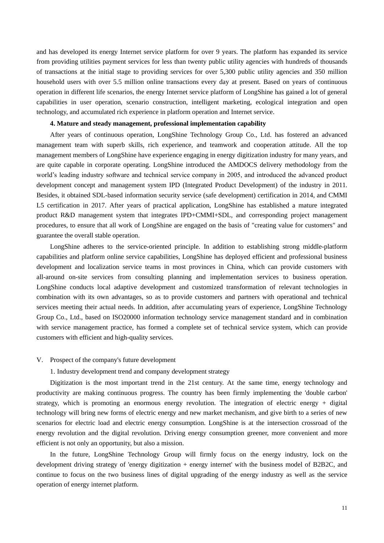and has developed its energy Internet service platform for over 9 years. The platform has expanded its service from providing utilities payment services for less than twenty public utility agencies with hundreds of thousands of transactions at the initial stage to providing services for over 5,300 public utility agencies and 350 million household users with over 5.5 million online transactions every day at present. Based on years of continuous operation in different life scenarios, the energy Internet service platform of LongShine has gained a lot of general capabilities in user operation, scenario construction, intelligent marketing, ecological integration and open technology, and accumulated rich experience in platform operation and Internet service.

### **4. Mature and steady management, professional implementation capability**

After years of continuous operation, LongShine Technology Group Co., Ltd. has fostered an advanced management team with superb skills, rich experience, and teamwork and cooperation attitude. All the top management members of LongShine have experience engaging in energy digitization industry for many years, and are quite capable in corporate operating. LongShine introduced the AMDOCS delivery methodology from the world's leading industry software and technical service company in 2005, and introduced the advanced product development concept and management system IPD (Integrated Product Development) of the industry in 2011. Besides, it obtained SDL-based information security service (safe development) certification in 2014, and CMMI L5 certification in 2017. After years of practical application, LongShine has established a mature integrated product R&D management system that integrates IPD+CMMI+SDL, and corresponding project management procedures, to ensure that all work of LongShine are engaged on the basis of "creating value for customers" and guarantee the overall stable operation.

LongShine adheres to the service-oriented principle. In addition to establishing strong middle-platform capabilities and platform online service capabilities, LongShine has deployed efficient and professional business development and localization service teams in most provinces in China, which can provide customers with all-around on-site services from consulting planning and implementation services to business operation. LongShine conducts local adaptive development and customized transformation of relevant technologies in combination with its own advantages, so as to provide customers and partners with operational and technical services meeting their actual needs. In addition, after accumulating years of experience, LongShine Technology Group Co., Ltd., based on ISO20000 information technology service management standard and in combination with service management practice, has formed a complete set of technical service system, which can provide customers with efficient and high-quality services.

### V. Prospect of the company's future development

1. Industry development trend and company development strategy

Digitization is the most important trend in the 21st century. At the same time, energy technology and productivity are making continuous progress. The country has been firmly implementing the 'double carbon' strategy, which is promoting an enormous energy revolution. The integration of electric energy + digital technology will bring new forms of electric energy and new market mechanism, and give birth to a series of new scenarios for electric load and electric energy consumption. LongShine is at the intersection crossroad of the energy revolution and the digital revolution. Driving energy consumption greener, more convenient and more efficient is not only an opportunity, but also a mission.

In the future, LongShine Technology Group will firmly focus on the energy industry, lock on the development driving strategy of 'energy digitization + energy internet' with the business model of B2B2C, and continue to focus on the two business lines of digital upgrading of the energy industry as well as the service operation of energy internet platform.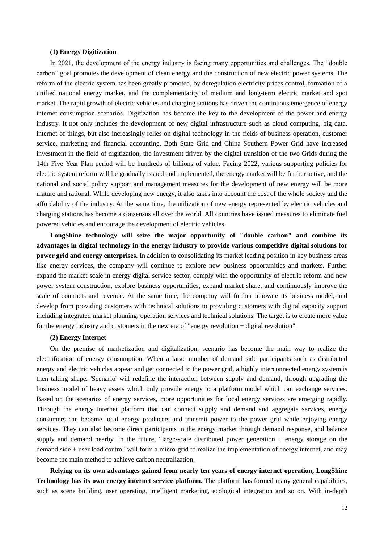### **(1) Energy Digitization**

In 2021, the development of the energy industry is facing many opportunities and challenges. The "double carbon" goal promotes the development of clean energy and the construction of new electric power systems. The reform of the electric system has been greatly promoted, by deregulation electricity prices control, formation of a unified national energy market, and the complementarity of medium and long-term electric market and spot market. The rapid growth of electric vehicles and charging stations has driven the continuous emergence of energy internet consumption scenarios. Digitization has become the key to the development of the power and energy industry. It not only includes the development of new digital infrastructure such as cloud computing, big data, internet of things, but also increasingly relies on digital technology in the fields of business operation, customer service, marketing and financial accounting. Both State Grid and China Southern Power Grid have increased investment in the field of digitization, the investment driven by the digital transition of the two Grids during the 14th Five Year Plan period will be hundreds of billions of value. Facing 2022, various supporting policies for electric system reform will be gradually issued and implemented, the energy market will be further active, and the national and social policy support and management measures for the development of new energy will be more mature and rational. While developing new energy, it also takes into account the cost of the whole society and the affordability of the industry. At the same time, the utilization of new energy represented by electric vehicles and charging stations has become a consensus all over the world. All countries have issued measures to eliminate fuel powered vehicles and encourage the development of electric vehicles.

**LongShine technology will seize the major opportunity of "double carbon" and combine its advantages in digital technology in the energy industry to provide various competitive digital solutions for power grid and energy enterprises.** In addition to consolidating its market leading position in key business areas like energy services, the company will continue to explore new business opportunities and markets. Further expand the market scale in energy digital service sector, comply with the opportunity of electric reform and new power system construction, explore business opportunities, expand market share, and continuously improve the scale of contracts and revenue. At the same time, the company will further innovate its business model, and develop from providing customers with technical solutions to providing customers with digital capacity support including integrated market planning, operation services and technical solutions. The target is to create more value for the energy industry and customers in the new era of "energy revolution + digital revolution".

### **(2) Energy Internet**

On the premise of marketization and digitalization, scenario has become the main way to realize the electrification of energy consumption. When a large number of demand side participants such as distributed energy and electric vehicles appear and get connected to the power grid, a highly interconnected energy system is then taking shape. 'Scenario' will redefine the interaction between supply and demand, through upgrading the business model of heavy assets which only provide energy to a platform model which can exchange services. Based on the scenarios of energy services, more opportunities for local energy services are emerging rapidly. Through the energy internet platform that can connect supply and demand and aggregate services, energy consumers can become local energy producers and transmit power to the power grid while enjoying energy services. They can also become direct participants in the energy market through demand response, and balance supply and demand nearby. In the future, "large-scale distributed power generation + energy storage on the demand side + user load control' will form a micro-grid to realize the implementation of energy internet, and may become the main method to achieve carbon neutralization.

**Relying on its own advantages gained from nearly ten years of energy internet operation, LongShine Technology has its own energy internet service platform.** The platform has formed many general capabilities, such as scene building, user operating, intelligent marketing, ecological integration and so on. With in-depth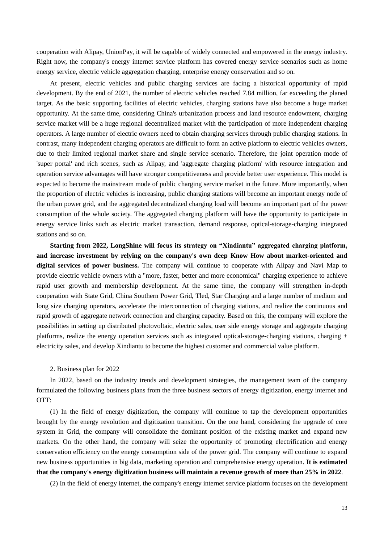cooperation with Alipay, UnionPay, it will be capable of widely connected and empowered in the energy industry. Right now, the company's energy internet service platform has covered energy service scenarios such as home energy service, electric vehicle aggregation charging, enterprise energy conservation and so on.

At present, electric vehicles and public charging services are facing a historical opportunity of rapid development. By the end of 2021, the number of electric vehicles reached 7.84 million, far exceeding the planed target. As the basic supporting facilities of electric vehicles, charging stations have also become a huge market opportunity. At the same time, considering China's urbanization process and land resource endowment, charging service market will be a huge regional decentralized market with the participation of more independent charging operators. A large number of electric owners need to obtain charging services through public charging stations. In contrast, many independent charging operators are difficult to form an active platform to electric vehicles owners, due to their limited regional market share and single service scenario. Therefore, the joint operation mode of 'super portal' and rich scenes, such as Alipay, and 'aggregate charging platform' with resource integration and operation service advantages will have stronger competitiveness and provide better user experience. This model is expected to become the mainstream mode of public charging service market in the future. More importantly, when the proportion of electric vehicles is increasing, public charging stations will become an important energy node of the urban power grid, and the aggregated decentralized charging load will become an important part of the power consumption of the whole society. The aggregated charging platform will have the opportunity to participate in energy service links such as electric market transaction, demand response, optical-storage-charging integrated stations and so on.

**Starting from 2022, LongShine will focus its strategy on "Xindiantu" aggregated charging platform, and increase investment by relying on the company's own deep Know How about market-oriented and digital services of power business.** The company will continue to cooperate with Alipay and Navi Map to provide electric vehicle owners with a "more, faster, better and more economical" charging experience to achieve rapid user growth and membership development. At the same time, the company will strengthen in-depth cooperation with State Grid, China Southern Power Grid, Tled, Star Charging and a large number of medium and long size charging operators, accelerate the interconnection of charging stations, and realize the continuous and rapid growth of aggregate network connection and charging capacity. Based on this, the company will explore the possibilities in setting up distributed photovoltaic, electric sales, user side energy storage and aggregate charging platforms, realize the energy operation services such as integrated optical-storage-charging stations, charging + electricity sales, and develop Xindiantu to become the highest customer and commercial value platform.

### 2. Business plan for 2022

In 2022, based on the industry trends and development strategies, the management team of the company formulated the following business plans from the three business sectors of energy digitization, energy internet and OTT:

(1) In the field of energy digitization, the company will continue to tap the development opportunities brought by the energy revolution and digitization transition. On the one hand, considering the upgrade of core system in Grid, the company will consolidate the dominant position of the existing market and expand new markets. On the other hand, the company will seize the opportunity of promoting electrification and energy conservation efficiency on the energy consumption side of the power grid. The company will continue to expand new business opportunities in big data, marketing operation and comprehensive energy operation. **It is estimated that the company's energy digitization business will maintain a revenue growth of more than 25% in 2022**.

(2) In the field of energy internet, the company's energy internet service platform focuses on the development